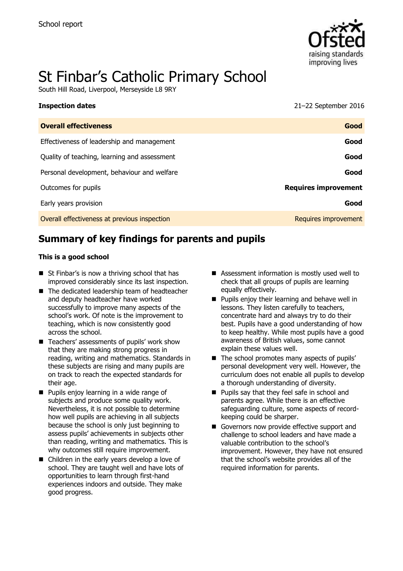

# St Finbar's Catholic Primary School

South Hill Road, Liverpool, Merseyside L8 9RY

| <b>Inspection dates</b>                      | $21-22$ September 2016      |
|----------------------------------------------|-----------------------------|
| <b>Overall effectiveness</b>                 | Good                        |
| Effectiveness of leadership and management   | Good                        |
| Quality of teaching, learning and assessment | Good                        |
| Personal development, behaviour and welfare  | Good                        |
| Outcomes for pupils                          | <b>Requires improvement</b> |
| Early years provision                        | Good                        |
| Overall effectiveness at previous inspection | Requires improvement        |

# **Summary of key findings for parents and pupils**

#### **This is a good school**

- St Finbar's is now a thriving school that has improved considerably since its last inspection.
- The dedicated leadership team of headteacher and deputy headteacher have worked successfully to improve many aspects of the school's work. Of note is the improvement to teaching, which is now consistently good across the school.
- Teachers' assessments of pupils' work show that they are making strong progress in reading, writing and mathematics. Standards in these subjects are rising and many pupils are on track to reach the expected standards for their age.
- **Pupils enjoy learning in a wide range of** subjects and produce some quality work. Nevertheless, it is not possible to determine how well pupils are achieving in all subjects because the school is only just beginning to assess pupils' achievements in subjects other than reading, writing and mathematics. This is why outcomes still require improvement.
- Children in the early years develop a love of school. They are taught well and have lots of opportunities to learn through first-hand experiences indoors and outside. They make good progress.
- Assessment information is mostly used well to check that all groups of pupils are learning equally effectively.
- **Pupils enjoy their learning and behave well in** lessons. They listen carefully to teachers, concentrate hard and always try to do their best. Pupils have a good understanding of how to keep healthy. While most pupils have a good awareness of British values, some cannot explain these values well.
- $\blacksquare$  The school promotes many aspects of pupils' personal development very well. However, the curriculum does not enable all pupils to develop a thorough understanding of diversity.
- **Pupils say that they feel safe in school and** parents agree. While there is an effective safeguarding culture, some aspects of recordkeeping could be sharper.
- Governors now provide effective support and challenge to school leaders and have made a valuable contribution to the school's improvement. However, they have not ensured that the school's website provides all of the required information for parents.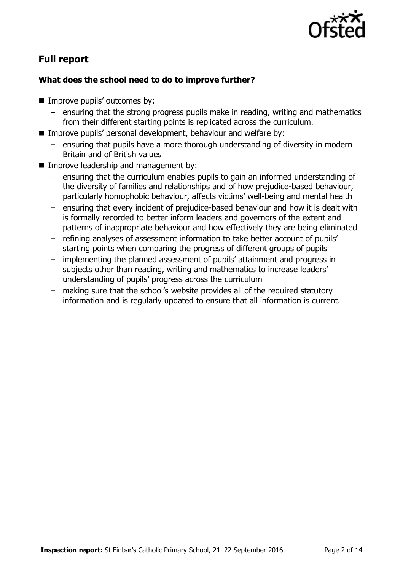

# **Full report**

#### **What does the school need to do to improve further?**

- Improve pupils' outcomes by:
	- ensuring that the strong progress pupils make in reading, writing and mathematics from their different starting points is replicated across the curriculum.
- **IMPROVE pupils' personal development, behaviour and welfare by:** 
	- ensuring that pupils have a more thorough understanding of diversity in modern Britain and of British values
- **Improve leadership and management by:** 
	- ensuring that the curriculum enables pupils to gain an informed understanding of the diversity of families and relationships and of how prejudice-based behaviour, particularly homophobic behaviour, affects victims' well-being and mental health
	- ensuring that every incident of prejudice-based behaviour and how it is dealt with is formally recorded to better inform leaders and governors of the extent and patterns of inappropriate behaviour and how effectively they are being eliminated
	- refining analyses of assessment information to take better account of pupils' starting points when comparing the progress of different groups of pupils
	- implementing the planned assessment of pupils' attainment and progress in subjects other than reading, writing and mathematics to increase leaders' understanding of pupils' progress across the curriculum
	- making sure that the school's website provides all of the required statutory information and is regularly updated to ensure that all information is current.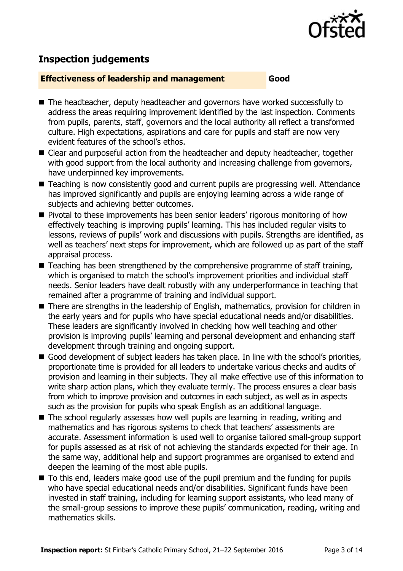

# **Inspection judgements**

#### **Effectiveness of leadership and management Good**

- The headteacher, deputy headteacher and governors have worked successfully to address the areas requiring improvement identified by the last inspection. Comments from pupils, parents, staff, governors and the local authority all reflect a transformed culture. High expectations, aspirations and care for pupils and staff are now very evident features of the school's ethos.
- Clear and purposeful action from the headteacher and deputy headteacher, together with good support from the local authority and increasing challenge from governors, have underpinned key improvements.
- Teaching is now consistently good and current pupils are progressing well. Attendance has improved significantly and pupils are enjoying learning across a wide range of subjects and achieving better outcomes.
- **Pivotal to these improvements has been senior leaders' rigorous monitoring of how** effectively teaching is improving pupils' learning. This has included regular visits to lessons, reviews of pupils' work and discussions with pupils. Strengths are identified, as well as teachers' next steps for improvement, which are followed up as part of the staff appraisal process.
- $\blacksquare$  Teaching has been strengthened by the comprehensive programme of staff training, which is organised to match the school's improvement priorities and individual staff needs. Senior leaders have dealt robustly with any underperformance in teaching that remained after a programme of training and individual support.
- There are strengths in the leadership of English, mathematics, provision for children in the early years and for pupils who have special educational needs and/or disabilities. These leaders are significantly involved in checking how well teaching and other provision is improving pupils' learning and personal development and enhancing staff development through training and ongoing support.
- Good development of subject leaders has taken place. In line with the school's priorities, proportionate time is provided for all leaders to undertake various checks and audits of provision and learning in their subjects. They all make effective use of this information to write sharp action plans, which they evaluate termly. The process ensures a clear basis from which to improve provision and outcomes in each subject, as well as in aspects such as the provision for pupils who speak English as an additional language.
- The school regularly assesses how well pupils are learning in reading, writing and mathematics and has rigorous systems to check that teachers' assessments are accurate. Assessment information is used well to organise tailored small-group support for pupils assessed as at risk of not achieving the standards expected for their age. In the same way, additional help and support programmes are organised to extend and deepen the learning of the most able pupils.
- To this end, leaders make good use of the pupil premium and the funding for pupils who have special educational needs and/or disabilities. Significant funds have been invested in staff training, including for learning support assistants, who lead many of the small-group sessions to improve these pupils' communication, reading, writing and mathematics skills.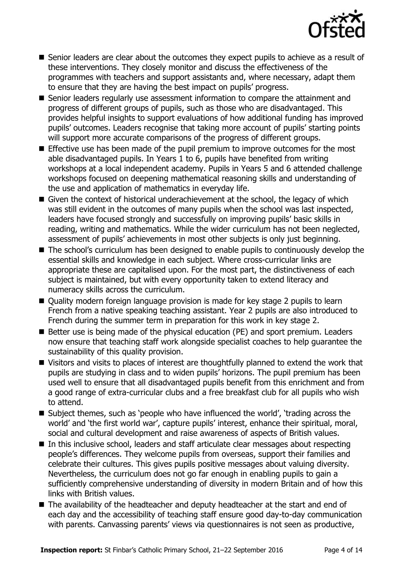

- Senior leaders are clear about the outcomes they expect pupils to achieve as a result of these interventions. They closely monitor and discuss the effectiveness of the programmes with teachers and support assistants and, where necessary, adapt them to ensure that they are having the best impact on pupils' progress.
- Senior leaders regularly use assessment information to compare the attainment and progress of different groups of pupils, such as those who are disadvantaged. This provides helpful insights to support evaluations of how additional funding has improved pupils' outcomes. Leaders recognise that taking more account of pupils' starting points will support more accurate comparisons of the progress of different groups.
- **Effective use has been made of the pupil premium to improve outcomes for the most** able disadvantaged pupils. In Years 1 to 6, pupils have benefited from writing workshops at a local independent academy. Pupils in Years 5 and 6 attended challenge workshops focused on deepening mathematical reasoning skills and understanding of the use and application of mathematics in everyday life.
- Given the context of historical underachievement at the school, the legacy of which was still evident in the outcomes of many pupils when the school was last inspected, leaders have focused strongly and successfully on improving pupils' basic skills in reading, writing and mathematics. While the wider curriculum has not been neglected, assessment of pupils' achievements in most other subjects is only just beginning.
- The school's curriculum has been designed to enable pupils to continuously develop the essential skills and knowledge in each subject. Where cross-curricular links are appropriate these are capitalised upon. For the most part, the distinctiveness of each subject is maintained, but with every opportunity taken to extend literacy and numeracy skills across the curriculum.
- Quality modern foreign language provision is made for key stage 2 pupils to learn French from a native speaking teaching assistant. Year 2 pupils are also introduced to French during the summer term in preparation for this work in key stage 2.
- Better use is being made of the physical education (PE) and sport premium. Leaders now ensure that teaching staff work alongside specialist coaches to help guarantee the sustainability of this quality provision.
- Visitors and visits to places of interest are thoughtfully planned to extend the work that pupils are studying in class and to widen pupils' horizons. The pupil premium has been used well to ensure that all disadvantaged pupils benefit from this enrichment and from a good range of extra-curricular clubs and a free breakfast club for all pupils who wish to attend.
- Subject themes, such as 'people who have influenced the world', 'trading across the world' and 'the first world war', capture pupils' interest, enhance their spiritual, moral, social and cultural development and raise awareness of aspects of British values.
- In this inclusive school, leaders and staff articulate clear messages about respecting people's differences. They welcome pupils from overseas, support their families and celebrate their cultures. This gives pupils positive messages about valuing diversity. Nevertheless, the curriculum does not go far enough in enabling pupils to gain a sufficiently comprehensive understanding of diversity in modern Britain and of how this links with British values.
- The availability of the headteacher and deputy headteacher at the start and end of each day and the accessibility of teaching staff ensure good day-to-day communication with parents. Canvassing parents' views via questionnaires is not seen as productive,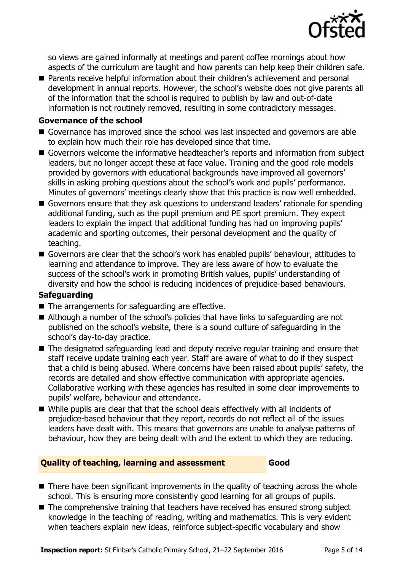

so views are gained informally at meetings and parent coffee mornings about how aspects of the curriculum are taught and how parents can help keep their children safe.

■ Parents receive helpful information about their children's achievement and personal development in annual reports. However, the school's website does not give parents all of the information that the school is required to publish by law and out-of-date information is not routinely removed, resulting in some contradictory messages.

#### **Governance of the school**

- Governance has improved since the school was last inspected and governors are able to explain how much their role has developed since that time.
- Governors welcome the informative headteacher's reports and information from subject leaders, but no longer accept these at face value. Training and the good role models provided by governors with educational backgrounds have improved all governors' skills in asking probing questions about the school's work and pupils' performance. Minutes of governors' meetings clearly show that this practice is now well embedded.
- Governors ensure that they ask questions to understand leaders' rationale for spending additional funding, such as the pupil premium and PE sport premium. They expect leaders to explain the impact that additional funding has had on improving pupils' academic and sporting outcomes, their personal development and the quality of teaching.
- Governors are clear that the school's work has enabled pupils' behaviour, attitudes to learning and attendance to improve. They are less aware of how to evaluate the success of the school's work in promoting British values, pupils' understanding of diversity and how the school is reducing incidences of prejudice-based behaviours.

#### **Safeguarding**

- $\blacksquare$  The arrangements for safeguarding are effective.
- Although a number of the school's policies that have links to safeguarding are not published on the school's website, there is a sound culture of safeguarding in the school's day-to-day practice.
- The designated safeguarding lead and deputy receive regular training and ensure that staff receive update training each year. Staff are aware of what to do if they suspect that a child is being abused. Where concerns have been raised about pupils' safety, the records are detailed and show effective communication with appropriate agencies. Collaborative working with these agencies has resulted in some clear improvements to pupils' welfare, behaviour and attendance.
- While pupils are clear that that the school deals effectively with all incidents of prejudice-based behaviour that they report, records do not reflect all of the issues leaders have dealt with. This means that governors are unable to analyse patterns of behaviour, how they are being dealt with and the extent to which they are reducing.

#### **Quality of teaching, learning and assessment Good**

- There have been significant improvements in the quality of teaching across the whole school. This is ensuring more consistently good learning for all groups of pupils.
- The comprehensive training that teachers have received has ensured strong subject knowledge in the teaching of reading, writing and mathematics. This is very evident when teachers explain new ideas, reinforce subject-specific vocabulary and show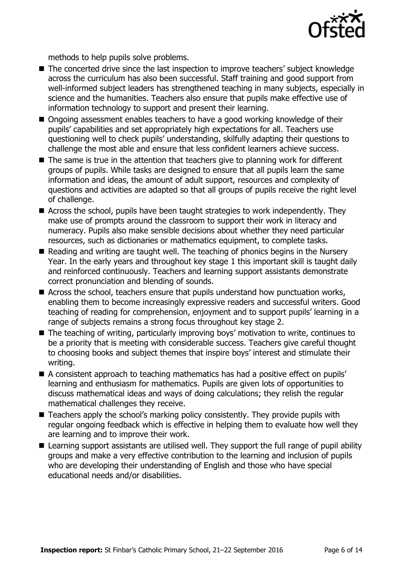

methods to help pupils solve problems.

- The concerted drive since the last inspection to improve teachers' subject knowledge across the curriculum has also been successful. Staff training and good support from well-informed subject leaders has strengthened teaching in many subjects, especially in science and the humanities. Teachers also ensure that pupils make effective use of information technology to support and present their learning.
- Ongoing assessment enables teachers to have a good working knowledge of their pupils' capabilities and set appropriately high expectations for all. Teachers use questioning well to check pupils' understanding, skilfully adapting their questions to challenge the most able and ensure that less confident learners achieve success.
- $\blacksquare$  The same is true in the attention that teachers give to planning work for different groups of pupils. While tasks are designed to ensure that all pupils learn the same information and ideas, the amount of adult support, resources and complexity of questions and activities are adapted so that all groups of pupils receive the right level of challenge.
- Across the school, pupils have been taught strategies to work independently. They make use of prompts around the classroom to support their work in literacy and numeracy. Pupils also make sensible decisions about whether they need particular resources, such as dictionaries or mathematics equipment, to complete tasks.
- Reading and writing are taught well. The teaching of phonics begins in the Nursery Year. In the early years and throughout key stage 1 this important skill is taught daily and reinforced continuously. Teachers and learning support assistants demonstrate correct pronunciation and blending of sounds.
- Across the school, teachers ensure that pupils understand how punctuation works, enabling them to become increasingly expressive readers and successful writers. Good teaching of reading for comprehension, enjoyment and to support pupils' learning in a range of subjects remains a strong focus throughout key stage 2.
- The teaching of writing, particularly improving boys' motivation to write, continues to be a priority that is meeting with considerable success. Teachers give careful thought to choosing books and subject themes that inspire boys' interest and stimulate their writing.
- A consistent approach to teaching mathematics has had a positive effect on pupils' learning and enthusiasm for mathematics. Pupils are given lots of opportunities to discuss mathematical ideas and ways of doing calculations; they relish the regular mathematical challenges they receive.
- Teachers apply the school's marking policy consistently. They provide pupils with regular ongoing feedback which is effective in helping them to evaluate how well they are learning and to improve their work.
- Learning support assistants are utilised well. They support the full range of pupil ability groups and make a very effective contribution to the learning and inclusion of pupils who are developing their understanding of English and those who have special educational needs and/or disabilities.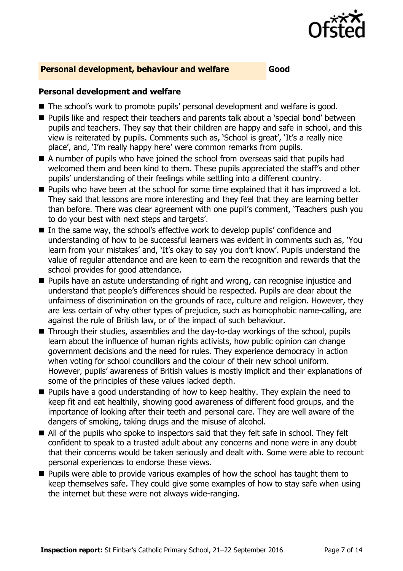

#### **Personal development, behaviour and welfare Good**

#### **Personal development and welfare**

- The school's work to promote pupils' personal development and welfare is good.
- **Pupils like and respect their teachers and parents talk about a 'special bond' between** pupils and teachers. They say that their children are happy and safe in school, and this view is reiterated by pupils. Comments such as, 'School is great', 'It's a really nice place', and, 'I'm really happy here' were common remarks from pupils.
- A number of pupils who have joined the school from overseas said that pupils had welcomed them and been kind to them. These pupils appreciated the staff's and other pupils' understanding of their feelings while settling into a different country.
- **Pupils who have been at the school for some time explained that it has improved a lot.** They said that lessons are more interesting and they feel that they are learning better than before. There was clear agreement with one pupil's comment, 'Teachers push you to do your best with next steps and targets'.
- In the same way, the school's effective work to develop pupils' confidence and understanding of how to be successful learners was evident in comments such as, 'You learn from your mistakes' and, 'It's okay to say you don't know'. Pupils understand the value of regular attendance and are keen to earn the recognition and rewards that the school provides for good attendance.
- **Pupils have an astute understanding of right and wrong, can recognise injustice and** understand that people's differences should be respected. Pupils are clear about the unfairness of discrimination on the grounds of race, culture and religion. However, they are less certain of why other types of prejudice, such as homophobic name-calling, are against the rule of British law, or of the impact of such behaviour.
- Through their studies, assemblies and the day-to-day workings of the school, pupils learn about the influence of human rights activists, how public opinion can change government decisions and the need for rules. They experience democracy in action when voting for school councillors and the colour of their new school uniform. However, pupils' awareness of British values is mostly implicit and their explanations of some of the principles of these values lacked depth.
- **Pupils have a good understanding of how to keep healthy. They explain the need to** keep fit and eat healthily, showing good awareness of different food groups, and the importance of looking after their teeth and personal care. They are well aware of the dangers of smoking, taking drugs and the misuse of alcohol.
- All of the pupils who spoke to inspectors said that they felt safe in school. They felt confident to speak to a trusted adult about any concerns and none were in any doubt that their concerns would be taken seriously and dealt with. Some were able to recount personal experiences to endorse these views.
- **Pupils were able to provide various examples of how the school has taught them to** keep themselves safe. They could give some examples of how to stay safe when using the internet but these were not always wide-ranging.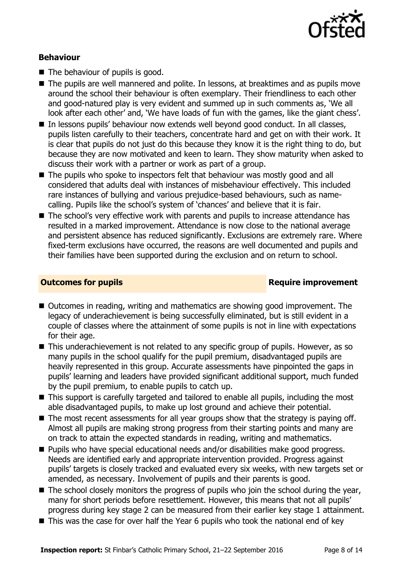

#### **Behaviour**

- $\blacksquare$  The behaviour of pupils is good.
- The pupils are well mannered and polite. In lessons, at breaktimes and as pupils move around the school their behaviour is often exemplary. Their friendliness to each other and good-natured play is very evident and summed up in such comments as, 'We all look after each other' and, 'We have loads of fun with the games, like the giant chess'.
- In lessons pupils' behaviour now extends well beyond good conduct. In all classes, pupils listen carefully to their teachers, concentrate hard and get on with their work. It is clear that pupils do not just do this because they know it is the right thing to do, but because they are now motivated and keen to learn. They show maturity when asked to discuss their work with a partner or work as part of a group.
- The pupils who spoke to inspectors felt that behaviour was mostly good and all considered that adults deal with instances of misbehaviour effectively. This included rare instances of bullying and various prejudice-based behaviours, such as namecalling. Pupils like the school's system of 'chances' and believe that it is fair.
- The school's very effective work with parents and pupils to increase attendance has resulted in a marked improvement. Attendance is now close to the national average and persistent absence has reduced significantly. Exclusions are extremely rare. Where fixed-term exclusions have occurred, the reasons are well documented and pupils and their families have been supported during the exclusion and on return to school.

#### **Outcomes for pupils Require improvement**

- Outcomes in reading, writing and mathematics are showing good improvement. The legacy of underachievement is being successfully eliminated, but is still evident in a couple of classes where the attainment of some pupils is not in line with expectations for their age.
- This underachievement is not related to any specific group of pupils. However, as so many pupils in the school qualify for the pupil premium, disadvantaged pupils are heavily represented in this group. Accurate assessments have pinpointed the gaps in pupils' learning and leaders have provided significant additional support, much funded by the pupil premium, to enable pupils to catch up.
- This support is carefully targeted and tailored to enable all pupils, including the most able disadvantaged pupils, to make up lost ground and achieve their potential.
- $\blacksquare$  The most recent assessments for all year groups show that the strategy is paying off. Almost all pupils are making strong progress from their starting points and many are on track to attain the expected standards in reading, writing and mathematics.
- **Pupils who have special educational needs and/or disabilities make good progress.** Needs are identified early and appropriate intervention provided. Progress against pupils' targets is closely tracked and evaluated every six weeks, with new targets set or amended, as necessary. Involvement of pupils and their parents is good.
- $\blacksquare$  The school closely monitors the progress of pupils who join the school during the year, many for short periods before resettlement. However, this means that not all pupils' progress during key stage 2 can be measured from their earlier key stage 1 attainment.
- This was the case for over half the Year 6 pupils who took the national end of key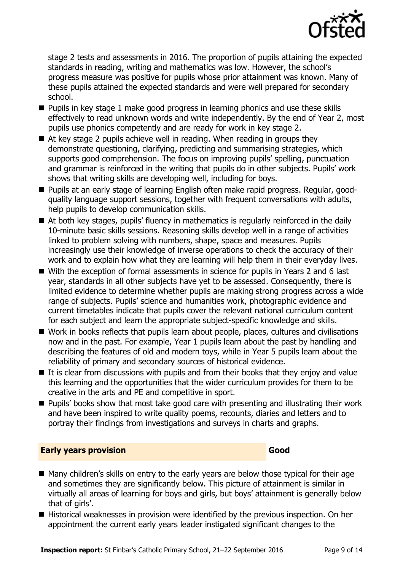

stage 2 tests and assessments in 2016. The proportion of pupils attaining the expected standards in reading, writing and mathematics was low. However, the school's progress measure was positive for pupils whose prior attainment was known. Many of these pupils attained the expected standards and were well prepared for secondary school.

- **Pupils in key stage 1 make good progress in learning phonics and use these skills** effectively to read unknown words and write independently. By the end of Year 2, most pupils use phonics competently and are ready for work in key stage 2.
- At key stage 2 pupils achieve well in reading. When reading in groups they demonstrate questioning, clarifying, predicting and summarising strategies, which supports good comprehension. The focus on improving pupils' spelling, punctuation and grammar is reinforced in the writing that pupils do in other subjects. Pupils' work shows that writing skills are developing well, including for boys.
- Pupils at an early stage of learning English often make rapid progress. Regular, goodquality language support sessions, together with frequent conversations with adults, help pupils to develop communication skills.
- At both key stages, pupils' fluency in mathematics is regularly reinforced in the daily 10-minute basic skills sessions. Reasoning skills develop well in a range of activities linked to problem solving with numbers, shape, space and measures. Pupils increasingly use their knowledge of inverse operations to check the accuracy of their work and to explain how what they are learning will help them in their everyday lives.
- With the exception of formal assessments in science for pupils in Years 2 and 6 last year, standards in all other subjects have yet to be assessed. Consequently, there is limited evidence to determine whether pupils are making strong progress across a wide range of subjects. Pupils' science and humanities work, photographic evidence and current timetables indicate that pupils cover the relevant national curriculum content for each subject and learn the appropriate subject-specific knowledge and skills.
- Work in books reflects that pupils learn about people, places, cultures and civilisations now and in the past. For example, Year 1 pupils learn about the past by handling and describing the features of old and modern toys, while in Year 5 pupils learn about the reliability of primary and secondary sources of historical evidence.
- $\blacksquare$  It is clear from discussions with pupils and from their books that they enjoy and value this learning and the opportunities that the wider curriculum provides for them to be creative in the arts and PE and competitive in sport.
- **Pupils' books show that most take good care with presenting and illustrating their work** and have been inspired to write quality poems, recounts, diaries and letters and to portray their findings from investigations and surveys in charts and graphs.

#### **Early years provision Good Good**

- Many children's skills on entry to the early years are below those typical for their age and sometimes they are significantly below. This picture of attainment is similar in virtually all areas of learning for boys and girls, but boys' attainment is generally below that of girls'.
- Historical weaknesses in provision were identified by the previous inspection. On her appointment the current early years leader instigated significant changes to the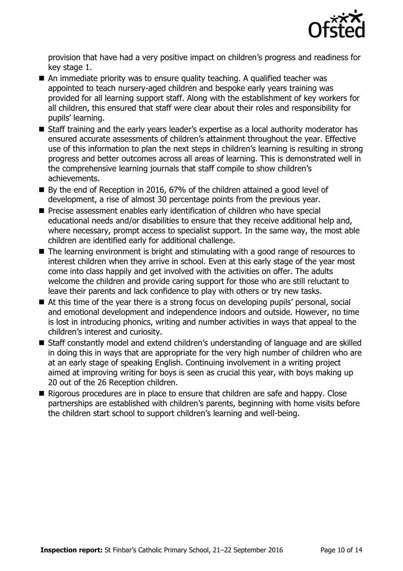

provision that have had a very positive impact on children's progress and readiness for key stage 1.

- An immediate priority was to ensure quality teaching. A qualified teacher was appointed to teach nursery-aged children and bespoke early years training was provided for all learning support staff. Along with the establishment of key workers for all children, this ensured that staff were clear about their roles and responsibility for pupils' learning.
- Staff training and the early years leader's expertise as a local authority moderator has ensured accurate assessments of children's attainment throughout the year. Effective use of this information to plan the next steps in children's learning is resulting in strong progress and better outcomes across all areas of learning. This is demonstrated well in the comprehensive learning journals that staff compile to show children's achievements.
- By the end of Reception in 2016, 67% of the children attained a good level of development, a rise of almost 30 percentage points from the previous year.
- **Precise assessment enables early identification of children who have special** educational needs and/or disabilities to ensure that they receive additional help and, where necessary, prompt access to specialist support. In the same way, the most able children are identified early for additional challenge.
- The learning environment is bright and stimulating with a good range of resources to interest children when they arrive in school. Even at this early stage of the year most come into class happily and get involved with the activities on offer. The adults welcome the children and provide caring support for those who are still reluctant to leave their parents and lack confidence to play with others or try new tasks.
- At this time of the year there is a strong focus on developing pupils' personal, social and emotional development and independence indoors and outside. However, no time is lost in introducing phonics, writing and number activities in ways that appeal to the children's interest and curiosity.
- Staff constantly model and extend children's understanding of language and are skilled in doing this in ways that are appropriate for the very high number of children who are at an early stage of speaking English. Continuing involvement in a writing project aimed at improving writing for boys is seen as crucial this year, with boys making up 20 out of the 26 Reception children.
- Rigorous procedures are in place to ensure that children are safe and happy. Close partnerships are established with children's parents, beginning with home visits before the children start school to support children's learning and well-being.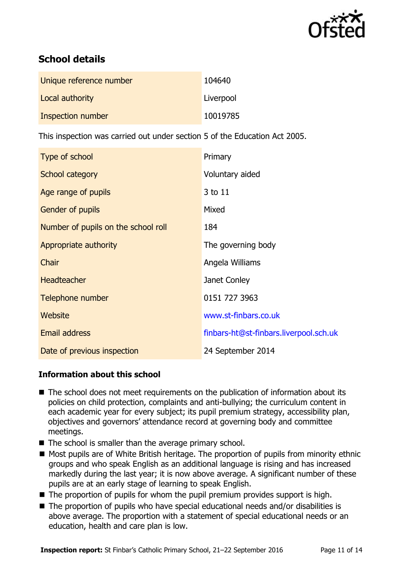

# **School details**

| Unique reference number | 104640    |
|-------------------------|-----------|
| Local authority         | Liverpool |
| Inspection number       | 10019785  |

This inspection was carried out under section 5 of the Education Act 2005.

| Type of school                      | Primary                                |
|-------------------------------------|----------------------------------------|
| School category                     | Voluntary aided                        |
| Age range of pupils                 | 3 to 11                                |
| <b>Gender of pupils</b>             | Mixed                                  |
| Number of pupils on the school roll | 184                                    |
| Appropriate authority               | The governing body                     |
| Chair                               | Angela Williams                        |
| <b>Headteacher</b>                  | Janet Conley                           |
| Telephone number                    | 0151 727 3963                          |
| Website                             | www.st-finbars.co.uk                   |
| Email address                       | finbars-ht@st-finbars.liverpool.sch.uk |
| Date of previous inspection         | 24 September 2014                      |

### **Information about this school**

- The school does not meet requirements on the publication of information about its policies on child protection, complaints and anti-bullying; the curriculum content in each academic year for every subject; its pupil premium strategy, accessibility plan, objectives and governors' attendance record at governing body and committee meetings.
- The school is smaller than the average primary school.
- Most pupils are of White British heritage. The proportion of pupils from minority ethnic groups and who speak English as an additional language is rising and has increased markedly during the last year; it is now above average. A significant number of these pupils are at an early stage of learning to speak English.
- $\blacksquare$  The proportion of pupils for whom the pupil premium provides support is high.
- The proportion of pupils who have special educational needs and/or disabilities is above average. The proportion with a statement of special educational needs or an education, health and care plan is low.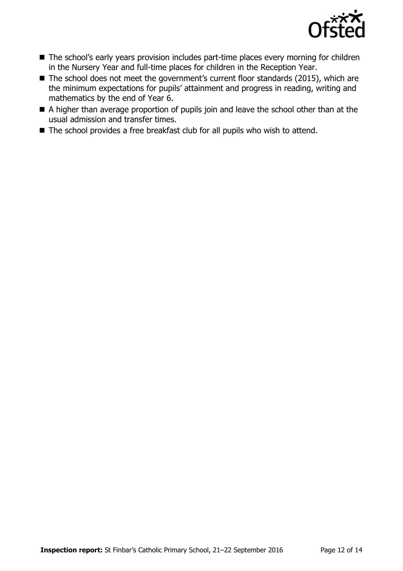

- The school's early years provision includes part-time places every morning for children in the Nursery Year and full-time places for children in the Reception Year.
- The school does not meet the government's current floor standards (2015), which are the minimum expectations for pupils' attainment and progress in reading, writing and mathematics by the end of Year 6.
- A higher than average proportion of pupils join and leave the school other than at the usual admission and transfer times.
- The school provides a free breakfast club for all pupils who wish to attend.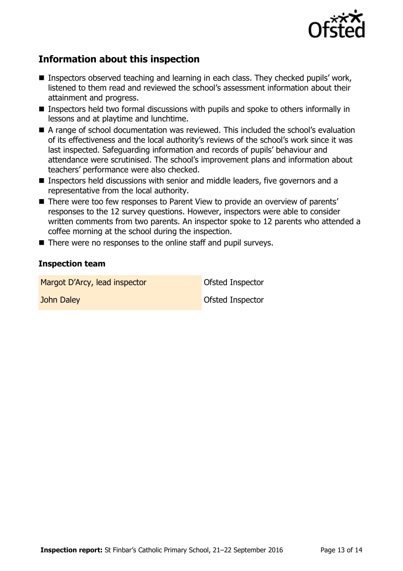

# **Information about this inspection**

- Inspectors observed teaching and learning in each class. They checked pupils' work, listened to them read and reviewed the school's assessment information about their attainment and progress.
- Inspectors held two formal discussions with pupils and spoke to others informally in lessons and at playtime and lunchtime.
- A range of school documentation was reviewed. This included the school's evaluation of its effectiveness and the local authority's reviews of the school's work since it was last inspected. Safeguarding information and records of pupils' behaviour and attendance were scrutinised. The school's improvement plans and information about teachers' performance were also checked.
- Inspectors held discussions with senior and middle leaders, five governors and a representative from the local authority.
- There were too few responses to Parent View to provide an overview of parents' responses to the 12 survey questions. However, inspectors were able to consider written comments from two parents. An inspector spoke to 12 parents who attended a coffee morning at the school during the inspection.
- There were no responses to the online staff and pupil surveys.

#### **Inspection team**

Margot D'Arcy, lead inspector **Ofsted Inspector** 

**John Daley Contract Contract Contract Contract Contract Contract Contract Contract Contract Contract Contract Contract Contract Contract Contract Contract Contract Contract Contract Contract Contract Contract Contract Con**